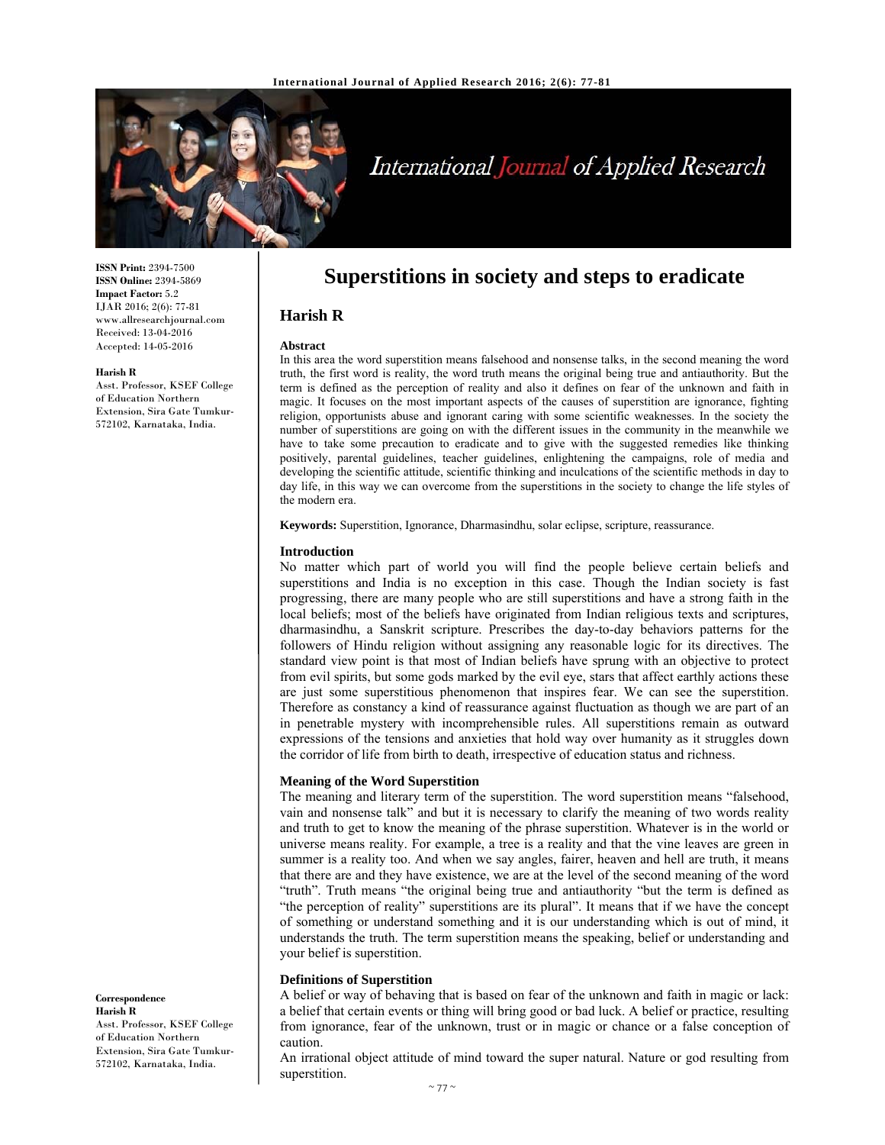

# International Journal of Applied Research

**ISSN Print:** 2394-7500 **ISSN Online:** 2394-5869 **Impact Factor:** 5.2 IJAR 2016; 2(6): 77-81 www.allresearchjournal.com Received: 13-04-2016 Accepted: 14-05-2016

#### **Harish R**

Asst. Professor, KSEF College of Education Northern Extension, Sira Gate Tumkur-572102, Karnataka, India.

# **Superstitions in society and steps to eradicate**

# **Harish R**

#### **Abstract**

In this area the word superstition means falsehood and nonsense talks, in the second meaning the word truth, the first word is reality, the word truth means the original being true and antiauthority. But the term is defined as the perception of reality and also it defines on fear of the unknown and faith in magic. It focuses on the most important aspects of the causes of superstition are ignorance, fighting religion, opportunists abuse and ignorant caring with some scientific weaknesses. In the society the number of superstitions are going on with the different issues in the community in the meanwhile we have to take some precaution to eradicate and to give with the suggested remedies like thinking positively, parental guidelines, teacher guidelines, enlightening the campaigns, role of media and developing the scientific attitude, scientific thinking and inculcations of the scientific methods in day to day life, in this way we can overcome from the superstitions in the society to change the life styles of the modern era.

**Keywords:** Superstition, Ignorance, Dharmasindhu, solar eclipse, scripture, reassurance.

#### **Introduction**

No matter which part of world you will find the people believe certain beliefs and superstitions and India is no exception in this case. Though the Indian society is fast progressing, there are many people who are still superstitions and have a strong faith in the local beliefs; most of the beliefs have originated from Indian religious texts and scriptures, dharmasindhu, a Sanskrit scripture. Prescribes the day-to-day behaviors patterns for the followers of Hindu religion without assigning any reasonable logic for its directives. The standard view point is that most of Indian beliefs have sprung with an objective to protect from evil spirits, but some gods marked by the evil eye, stars that affect earthly actions these are just some superstitious phenomenon that inspires fear. We can see the superstition. Therefore as constancy a kind of reassurance against fluctuation as though we are part of an in penetrable mystery with incomprehensible rules. All superstitions remain as outward expressions of the tensions and anxieties that hold way over humanity as it struggles down the corridor of life from birth to death, irrespective of education status and richness.

#### **Meaning of the Word Superstition**

The meaning and literary term of the superstition. The word superstition means "falsehood, vain and nonsense talk" and but it is necessary to clarify the meaning of two words reality and truth to get to know the meaning of the phrase superstition. Whatever is in the world or universe means reality. For example, a tree is a reality and that the vine leaves are green in summer is a reality too. And when we say angles, fairer, heaven and hell are truth, it means that there are and they have existence, we are at the level of the second meaning of the word "truth". Truth means "the original being true and antiauthority "but the term is defined as "the perception of reality" superstitions are its plural". It means that if we have the concept of something or understand something and it is our understanding which is out of mind, it understands the truth. The term superstition means the speaking, belief or understanding and your belief is superstition.

#### **Definitions of Superstition**

A belief or way of behaving that is based on fear of the unknown and faith in magic or lack: a belief that certain events or thing will bring good or bad luck. A belief or practice, resulting from ignorance, fear of the unknown, trust or in magic or chance or a false conception of caution.

An irrational object attitude of mind toward the super natural. Nature or god resulting from superstition.

#### **Correspondence Harish R**

Asst. Professor, KSEF College of Education Northern Extension, Sira Gate Tumkur-572102, Karnataka, India.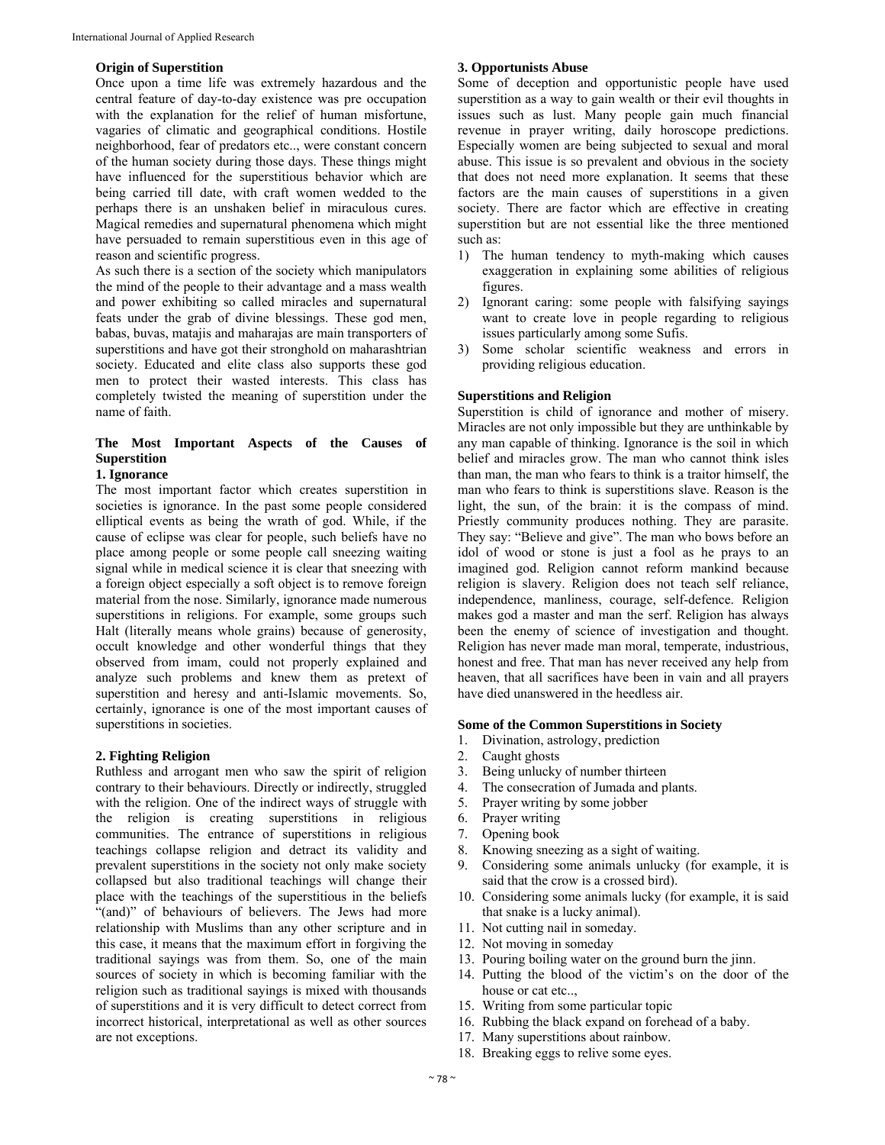#### **Origin of Superstition**

Once upon a time life was extremely hazardous and the central feature of day-to-day existence was pre occupation with the explanation for the relief of human misfortune, vagaries of climatic and geographical conditions. Hostile neighborhood, fear of predators etc.., were constant concern of the human society during those days. These things might have influenced for the superstitious behavior which are being carried till date, with craft women wedded to the perhaps there is an unshaken belief in miraculous cures. Magical remedies and supernatural phenomena which might have persuaded to remain superstitious even in this age of reason and scientific progress.

As such there is a section of the society which manipulators the mind of the people to their advantage and a mass wealth and power exhibiting so called miracles and supernatural feats under the grab of divine blessings. These god men, babas, buvas, matajis and maharajas are main transporters of superstitions and have got their stronghold on maharashtrian society. Educated and elite class also supports these god men to protect their wasted interests. This class has completely twisted the meaning of superstition under the name of faith.

# **The Most Important Aspects of the Causes of Superstition**

#### **1. Ignorance**

The most important factor which creates superstition in societies is ignorance. In the past some people considered elliptical events as being the wrath of god. While, if the cause of eclipse was clear for people, such beliefs have no place among people or some people call sneezing waiting signal while in medical science it is clear that sneezing with a foreign object especially a soft object is to remove foreign material from the nose. Similarly, ignorance made numerous superstitions in religions. For example, some groups such Halt (literally means whole grains) because of generosity, occult knowledge and other wonderful things that they observed from imam, could not properly explained and analyze such problems and knew them as pretext of superstition and heresy and anti-Islamic movements. So, certainly, ignorance is one of the most important causes of superstitions in societies.

#### **2. Fighting Religion**

Ruthless and arrogant men who saw the spirit of religion contrary to their behaviours. Directly or indirectly, struggled with the religion. One of the indirect ways of struggle with the religion is creating superstitions in religious communities. The entrance of superstitions in religious teachings collapse religion and detract its validity and prevalent superstitions in the society not only make society collapsed but also traditional teachings will change their place with the teachings of the superstitious in the beliefs "(and)" of behaviours of believers. The Jews had more relationship with Muslims than any other scripture and in this case, it means that the maximum effort in forgiving the traditional sayings was from them. So, one of the main sources of society in which is becoming familiar with the religion such as traditional sayings is mixed with thousands of superstitions and it is very difficult to detect correct from incorrect historical, interpretational as well as other sources are not exceptions.

#### **3. Opportunists Abuse**

Some of deception and opportunistic people have used superstition as a way to gain wealth or their evil thoughts in issues such as lust. Many people gain much financial revenue in prayer writing, daily horoscope predictions. Especially women are being subjected to sexual and moral abuse. This issue is so prevalent and obvious in the society that does not need more explanation. It seems that these factors are the main causes of superstitions in a given society. There are factor which are effective in creating superstition but are not essential like the three mentioned such as:

- 1) The human tendency to myth-making which causes exaggeration in explaining some abilities of religious figures.
- 2) Ignorant caring: some people with falsifying sayings want to create love in people regarding to religious issues particularly among some Sufis.
- 3) Some scholar scientific weakness and errors in providing religious education.

#### **Superstitions and Religion**

Superstition is child of ignorance and mother of misery. Miracles are not only impossible but they are unthinkable by any man capable of thinking. Ignorance is the soil in which belief and miracles grow. The man who cannot think isles than man, the man who fears to think is a traitor himself, the man who fears to think is superstitions slave. Reason is the light, the sun, of the brain: it is the compass of mind. Priestly community produces nothing. They are parasite. They say: "Believe and give". The man who bows before an idol of wood or stone is just a fool as he prays to an imagined god. Religion cannot reform mankind because religion is slavery. Religion does not teach self reliance, independence, manliness, courage, self-defence. Religion makes god a master and man the serf. Religion has always been the enemy of science of investigation and thought. Religion has never made man moral, temperate, industrious, honest and free. That man has never received any help from heaven, that all sacrifices have been in vain and all prayers have died unanswered in the heedless air.

#### **Some of the Common Superstitions in Society**

- 1. Divination, astrology, prediction
- 2. Caught ghosts
- 3. Being unlucky of number thirteen
- 4. The consecration of Jumada and plants.
- 5. Prayer writing by some jobber
- 6. Prayer writing
- 7. Opening book
- 8. Knowing sneezing as a sight of waiting.
- 9. Considering some animals unlucky (for example, it is said that the crow is a crossed bird).
- 10. Considering some animals lucky (for example, it is said that snake is a lucky animal).
- 11. Not cutting nail in someday.
- 12. Not moving in someday
- 13. Pouring boiling water on the ground burn the jinn.
- 14. Putting the blood of the victim's on the door of the house or cat etc..,
- 15. Writing from some particular topic
- 16. Rubbing the black expand on forehead of a baby.
- 17. Many superstitions about rainbow.
- 18. Breaking eggs to relive some eyes.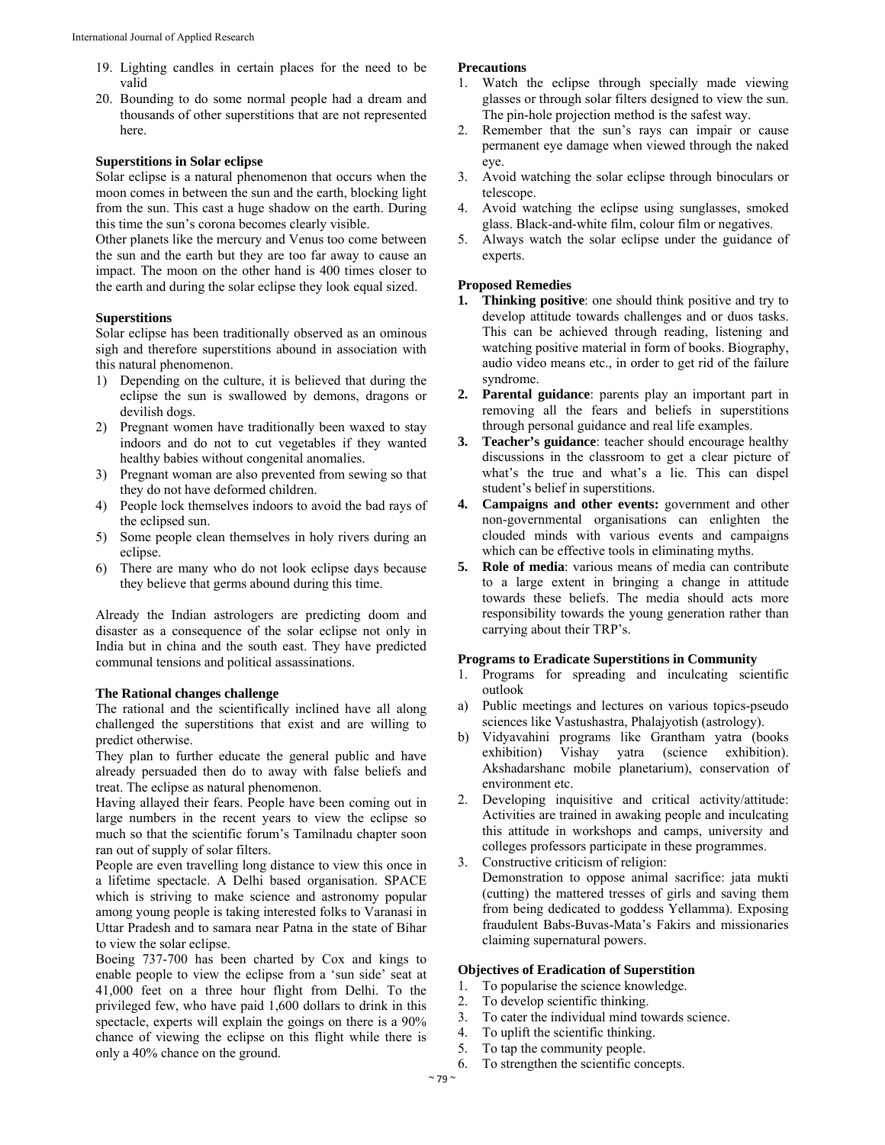- 19. Lighting candles in certain places for the need to be valid
- 20. Bounding to do some normal people had a dream and thousands of other superstitions that are not represented here.

#### **Superstitions in Solar eclipse**

Solar eclipse is a natural phenomenon that occurs when the moon comes in between the sun and the earth, blocking light from the sun. This cast a huge shadow on the earth. During this time the sun's corona becomes clearly visible.

Other planets like the mercury and Venus too come between the sun and the earth but they are too far away to cause an impact. The moon on the other hand is 400 times closer to the earth and during the solar eclipse they look equal sized.

### **Superstitions**

Solar eclipse has been traditionally observed as an ominous sigh and therefore superstitions abound in association with this natural phenomenon.

- 1) Depending on the culture, it is believed that during the eclipse the sun is swallowed by demons, dragons or devilish dogs.
- 2) Pregnant women have traditionally been waxed to stay indoors and do not to cut vegetables if they wanted healthy babies without congenital anomalies.
- 3) Pregnant woman are also prevented from sewing so that they do not have deformed children.
- 4) People lock themselves indoors to avoid the bad rays of the eclipsed sun.
- 5) Some people clean themselves in holy rivers during an eclipse.
- 6) There are many who do not look eclipse days because they believe that germs abound during this time.

Already the Indian astrologers are predicting doom and disaster as a consequence of the solar eclipse not only in India but in china and the south east. They have predicted communal tensions and political assassinations.

### **The Rational changes challenge**

The rational and the scientifically inclined have all along challenged the superstitions that exist and are willing to predict otherwise.

They plan to further educate the general public and have already persuaded then do to away with false beliefs and treat. The eclipse as natural phenomenon.

Having allayed their fears. People have been coming out in large numbers in the recent years to view the eclipse so much so that the scientific forum's Tamilnadu chapter soon ran out of supply of solar filters.

People are even travelling long distance to view this once in a lifetime spectacle. A Delhi based organisation. SPACE which is striving to make science and astronomy popular among young people is taking interested folks to Varanasi in Uttar Pradesh and to samara near Patna in the state of Bihar to view the solar eclipse.

Boeing 737-700 has been charted by Cox and kings to enable people to view the eclipse from a 'sun side' seat at 41,000 feet on a three hour flight from Delhi. To the privileged few, who have paid 1,600 dollars to drink in this spectacle, experts will explain the goings on there is a 90% chance of viewing the eclipse on this flight while there is only a 40% chance on the ground.

#### **Precautions**

- 1. Watch the eclipse through specially made viewing glasses or through solar filters designed to view the sun. The pin-hole projection method is the safest way.
- 2. Remember that the sun's rays can impair or cause permanent eye damage when viewed through the naked eye.
- 3. Avoid watching the solar eclipse through binoculars or telescope.
- 4. Avoid watching the eclipse using sunglasses, smoked glass. Black-and-white film, colour film or negatives.
- 5. Always watch the solar eclipse under the guidance of experts.

#### **Proposed Remedies**

- **1. Thinking positive**: one should think positive and try to develop attitude towards challenges and or duos tasks. This can be achieved through reading, listening and watching positive material in form of books. Biography, audio video means etc., in order to get rid of the failure syndrome.
- **2. Parental guidance**: parents play an important part in removing all the fears and beliefs in superstitions through personal guidance and real life examples.
- **3. Teacher's guidance**: teacher should encourage healthy discussions in the classroom to get a clear picture of what's the true and what's a lie. This can dispel student's belief in superstitions.
- **4. Campaigns and other events:** government and other non-governmental organisations can enlighten the clouded minds with various events and campaigns which can be effective tools in eliminating myths.
- **5. Role of media**: various means of media can contribute to a large extent in bringing a change in attitude towards these beliefs. The media should acts more responsibility towards the young generation rather than carrying about their TRP's.

#### **Programs to Eradicate Superstitions in Community**

- 1. Programs for spreading and inculcating scientific outlook
- a) Public meetings and lectures on various topics-pseudo sciences like Vastushastra, Phalajyotish (astrology).
- b) Vidyavahini programs like Grantham yatra (books exhibition) Vishay yatra (science exhibition). Akshadarshanc mobile planetarium), conservation of environment etc.
- 2. Developing inquisitive and critical activity/attitude: Activities are trained in awaking people and inculcating this attitude in workshops and camps, university and colleges professors participate in these programmes.
- 3. Constructive criticism of religion: Demonstration to oppose animal sacrifice: jata mukti (cutting) the mattered tresses of girls and saving them from being dedicated to goddess Yellamma). Exposing fraudulent Babs-Buvas-Mata's Fakirs and missionaries claiming supernatural powers.

## **Objectives of Eradication of Superstition**

- 1. To popularise the science knowledge.
- 2. To develop scientific thinking.
- 3. To cater the individual mind towards science.
- 4. To uplift the scientific thinking.
- 5. To tap the community people.
- 6. To strengthen the scientific concepts.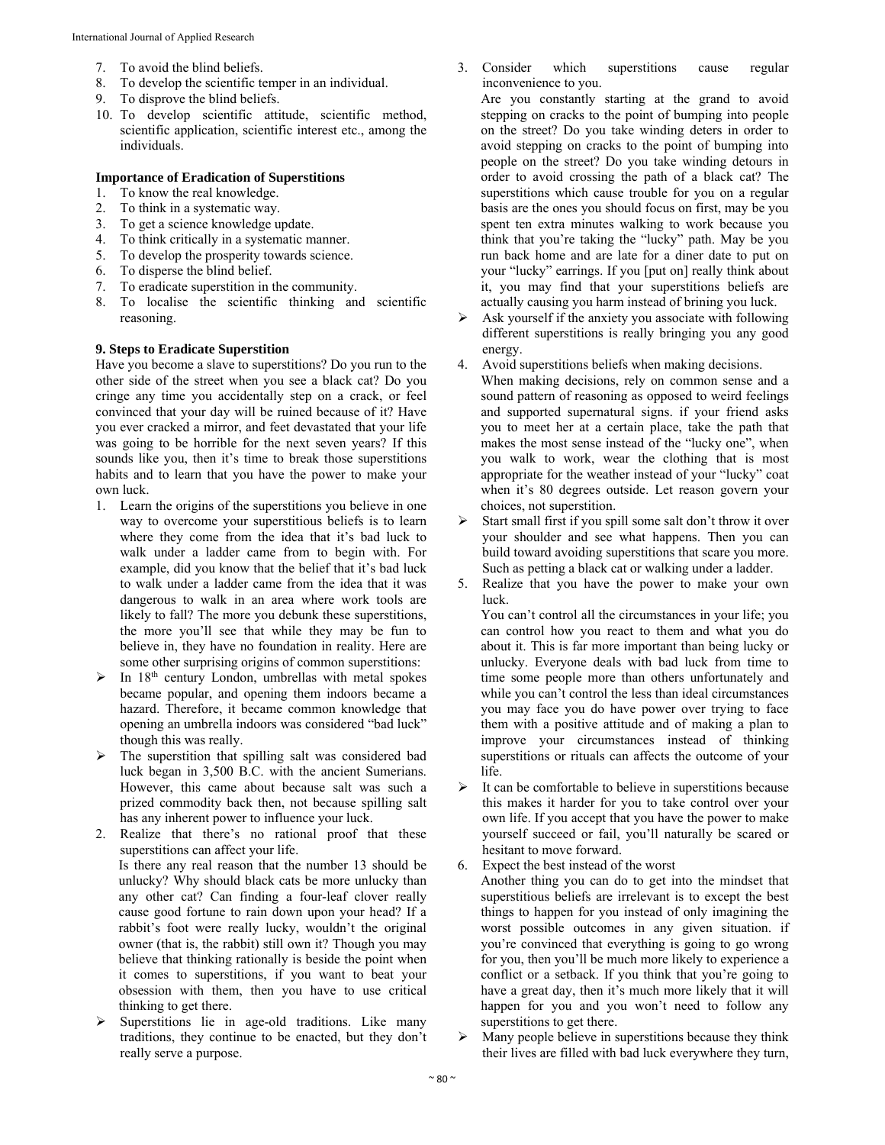- 7. To avoid the blind beliefs.
- 8. To develop the scientific temper in an individual.
- 9. To disprove the blind beliefs.
- 10. To develop scientific attitude, scientific method, scientific application, scientific interest etc., among the individuals.

#### **Importance of Eradication of Superstitions**

- 1. To know the real knowledge.
- 2. To think in a systematic way.
- 3. To get a science knowledge update.
- 4. To think critically in a systematic manner.
- 5. To develop the prosperity towards science.
- 6. To disperse the blind belief.
- 7. To eradicate superstition in the community.
- 8. To localise the scientific thinking and scientific reasoning.

#### **9. Steps to Eradicate Superstition**

Have you become a slave to superstitions? Do you run to the other side of the street when you see a black cat? Do you cringe any time you accidentally step on a crack, or feel convinced that your day will be ruined because of it? Have you ever cracked a mirror, and feet devastated that your life was going to be horrible for the next seven years? If this sounds like you, then it's time to break those superstitions habits and to learn that you have the power to make your own luck.

- 1. Learn the origins of the superstitions you believe in one way to overcome your superstitious beliefs is to learn where they come from the idea that it's bad luck to walk under a ladder came from to begin with. For example, did you know that the belief that it's bad luck to walk under a ladder came from the idea that it was dangerous to walk in an area where work tools are likely to fall? The more you debunk these superstitions, the more you'll see that while they may be fun to believe in, they have no foundation in reality. Here are some other surprising origins of common superstitions:
- $\triangleright$  In 18<sup>th</sup> century London, umbrellas with metal spokes became popular, and opening them indoors became a hazard. Therefore, it became common knowledge that opening an umbrella indoors was considered "bad luck" though this was really.
- The superstition that spilling salt was considered bad luck began in 3,500 B.C. with the ancient Sumerians. However, this came about because salt was such a prized commodity back then, not because spilling salt has any inherent power to influence your luck.

2. Realize that there's no rational proof that these superstitions can affect your life. Is there any real reason that the number 13 should be unlucky? Why should black cats be more unlucky than any other cat? Can finding a four-leaf clover really cause good fortune to rain down upon your head? If a rabbit's foot were really lucky, wouldn't the original owner (that is, the rabbit) still own it? Though you may believe that thinking rationally is beside the point when it comes to superstitions, if you want to beat your obsession with them, then you have to use critical thinking to get there.

 Superstitions lie in age-old traditions. Like many traditions, they continue to be enacted, but they don't really serve a purpose.

3. Consider which superstitions cause regular inconvenience to you.

Are you constantly starting at the grand to avoid stepping on cracks to the point of bumping into people on the street? Do you take winding deters in order to avoid stepping on cracks to the point of bumping into people on the street? Do you take winding detours in order to avoid crossing the path of a black cat? The superstitions which cause trouble for you on a regular basis are the ones you should focus on first, may be you spent ten extra minutes walking to work because you think that you're taking the "lucky" path. May be you run back home and are late for a diner date to put on your "lucky" earrings. If you [put on] really think about it, you may find that your superstitions beliefs are actually causing you harm instead of brining you luck.

- $\triangleright$  Ask yourself if the anxiety you associate with following different superstitions is really bringing you any good energy.
- 4. Avoid superstitions beliefs when making decisions. When making decisions, rely on common sense and a sound pattern of reasoning as opposed to weird feelings and supported supernatural signs. if your friend asks you to meet her at a certain place, take the path that makes the most sense instead of the "lucky one", when you walk to work, wear the clothing that is most appropriate for the weather instead of your "lucky" coat when it's 80 degrees outside. Let reason govern your choices, not superstition.
- $\triangleright$  Start small first if you spill some salt don't throw it over your shoulder and see what happens. Then you can build toward avoiding superstitions that scare you more. Such as petting a black cat or walking under a ladder.
- 5. Realize that you have the power to make your own luck.

You can't control all the circumstances in your life; you can control how you react to them and what you do about it. This is far more important than being lucky or unlucky. Everyone deals with bad luck from time to time some people more than others unfortunately and while you can't control the less than ideal circumstances you may face you do have power over trying to face them with a positive attitude and of making a plan to improve your circumstances instead of thinking superstitions or rituals can affects the outcome of your life.

 $\triangleright$  It can be comfortable to believe in superstitions because this makes it harder for you to take control over your own life. If you accept that you have the power to make yourself succeed or fail, you'll naturally be scared or hesitant to move forward.

Expect the best instead of the worst Another thing you can do to get into the mindset that superstitious beliefs are irrelevant is to except the best things to happen for you instead of only imagining the worst possible outcomes in any given situation. if you're convinced that everything is going to go wrong for you, then you'll be much more likely to experience a conflict or a setback. If you think that you're going to have a great day, then it's much more likely that it will happen for you and you won't need to follow any superstitions to get there.

 $\triangleright$  Many people believe in superstitions because they think their lives are filled with bad luck everywhere they turn,